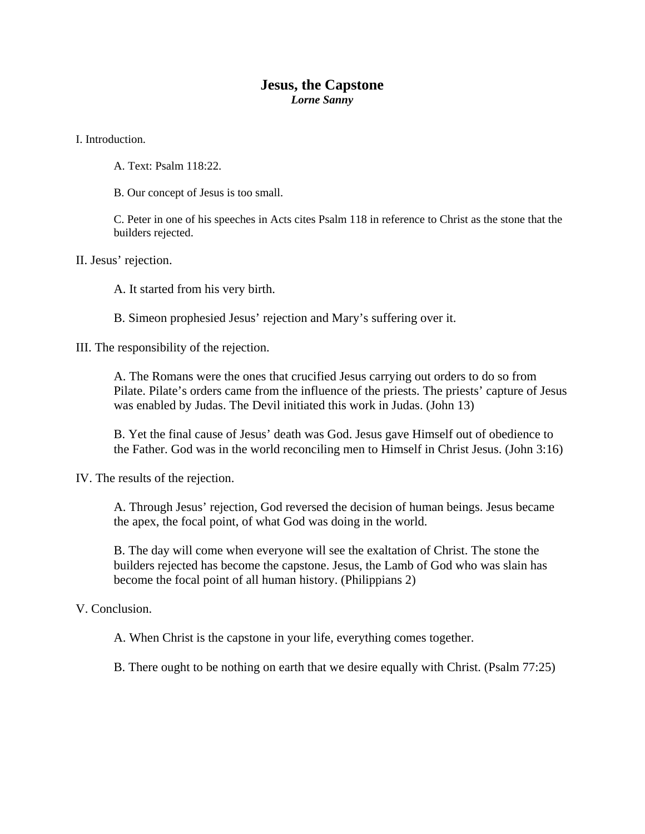## **Jesus, the Capstone**  *Lorne Sanny*

I. Introduction.

A. Text: Psalm 118:22.

B. Our concept of Jesus is too small.

C. Peter in one of his speeches in Acts cites Psalm 118 in reference to Christ as the stone that the builders rejected.

II. Jesus' rejection.

A. It started from his very birth.

B. Simeon prophesied Jesus' rejection and Mary's suffering over it.

III. The responsibility of the rejection.

A. The Romans were the ones that crucified Jesus carrying out orders to do so from Pilate. Pilate's orders came from the influence of the priests. The priests' capture of Jesus was enabled by Judas. The Devil initiated this work in Judas. (John 13)

B. Yet the final cause of Jesus' death was God. Jesus gave Himself out of obedience to the Father. God was in the world reconciling men to Himself in Christ Jesus. (John 3:16)

IV. The results of the rejection.

A. Through Jesus' rejection, God reversed the decision of human beings. Jesus became the apex, the focal point, of what God was doing in the world.

B. The day will come when everyone will see the exaltation of Christ. The stone the builders rejected has become the capstone. Jesus, the Lamb of God who was slain has become the focal point of all human history. (Philippians 2)

V. Conclusion.

A. When Christ is the capstone in your life, everything comes together.

B. There ought to be nothing on earth that we desire equally with Christ. (Psalm 77:25)